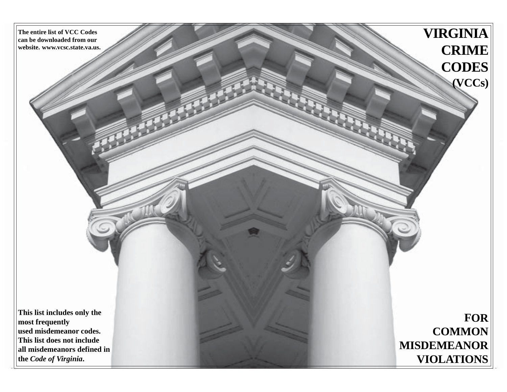